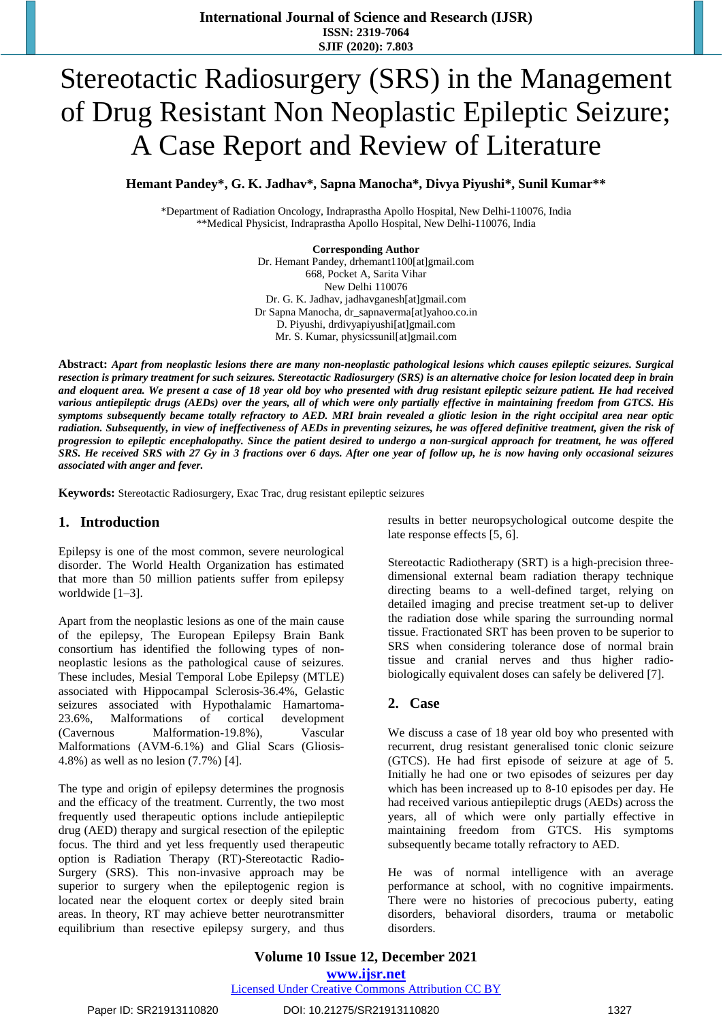# Stereotactic Radiosurgery (SRS) in the Management of Drug Resistant Non Neoplastic Epileptic Seizure; A Case Report and Review of Literature

**Hemant Pandey\*, G. K. Jadhav\*, Sapna Manocha\*, Divya Piyushi\*, Sunil Kumar\*\***

\*Department of Radiation Oncology, Indraprastha Apollo Hospital, New Delhi-110076, India \*\*Medical Physicist, Indraprastha Apollo Hospital, New Delhi-110076, India

> **Corresponding Author** Dr. Hemant Pandey, drhemant1100[at]gmail.com 668, Pocket A, Sarita Vihar New Delhi 110076 Dr. G. K. Jadhav, jadhavganesh[at]gmail.com Dr Sapna Manocha, dr\_sapnaverma[at]yahoo.co.in D. Piyushi, drdivyapiyushi[at]gmail.com Mr. S. Kumar, physicssunil[at]gmail.com

Abstract: Apart from neoplastic lesions there are many non-neoplastic pathological lesions which causes epileptic seizures. Surgical resection is primary treatment for such seizures. Stereotactic Radiosurgery (SRS) is an alternative choice for lesion located deep in brain and eloquent area. We present a case of 18 year old boy who presented with drug resistant epileptic seizure patient. He had received various antiepileptic drugs (AEDs) over the years, all of which were only partially effective in maintaining freedom from GTCS. His symptoms subsequently became totally refractory to AED. MRI brain revealed a gliotic lesion in the right occipital area near optic radiation. Subsequently, in view of ineffectiveness of AEDs in preventing seizures, he was offered definitive treatment, given the risk of progression to epileptic encephalopathy. Since the patient desired to undergo a non-surgical approach for treatment, he was offered SRS. He received SRS with 27 Gy in 3 fractions over 6 days. After one year of follow up, he is now having only occasional seizures *associated with anger and fever.* 

**Keywords:** Stereotactic Radiosurgery, Exac Trac, drug resistant epileptic seizures

## **1. Introduction**

Epilepsy is one of the most common, severe neurological disorder. The World Health Organization has estimated that more than 50 million patients suffer from epilepsy worldwide [1–3].

Apart from the neoplastic lesions as one of the main cause of the epilepsy, The European Epilepsy Brain Bank consortium has identified the following types of nonneoplastic lesions as the pathological cause of seizures. These includes, Mesial Temporal Lobe Epilepsy (MTLE) associated with Hippocampal Sclerosis-36.4%, Gelastic seizures associated with Hypothalamic Hamartoma-23.6%, Malformations of cortical development (Cavernous Malformation-19.8%), Vascular Malformations (AVM-6.1%) and Glial Scars (Gliosis-4.8%) as well as no lesion (7.7%) [4].

The type and origin of epilepsy determines the prognosis and the efficacy of the treatment. Currently, the two most frequently used therapeutic options include antiepileptic drug (AED) therapy and surgical resection of the epileptic focus. The third and yet less frequently used therapeutic option is Radiation Therapy (RT)-Stereotactic Radio-Surgery (SRS). This non-invasive approach may be superior to surgery when the epileptogenic region is located near the eloquent cortex or deeply sited brain areas. In theory, RT may achieve better neurotransmitter equilibrium than resective epilepsy surgery, and thus

results in better neuropsychological outcome despite the late response effects [5, 6].

Stereotactic Radiotherapy (SRT) is a high-precision threedimensional external beam radiation therapy technique directing beams to a well-defined target, relying on detailed imaging and precise treatment set-up to deliver the radiation dose while sparing the surrounding normal tissue. Fractionated SRT has been proven to be superior to SRS when considering tolerance dose of normal brain tissue and cranial nerves and thus higher radiobiologically equivalent doses can safely be delivered [7].

## **2. Case**

We discuss a case of 18 year old boy who presented with recurrent, drug resistant generalised tonic clonic seizure (GTCS). He had first episode of seizure at age of 5. Initially he had one or two episodes of seizures per day which has been increased up to 8-10 episodes per day. He had received various antiepileptic drugs (AEDs) across the years, all of which were only partially effective in maintaining freedom from GTCS. His symptoms subsequently became totally refractory to AED.

He was of normal intelligence with an average performance at school, with no cognitive impairments. There were no histories of precocious puberty, eating disorders, behavioral disorders, trauma or metabolic disorders.

#### Paper ID: SR21913110820 DOI: 10.21275/SR21913110820 1327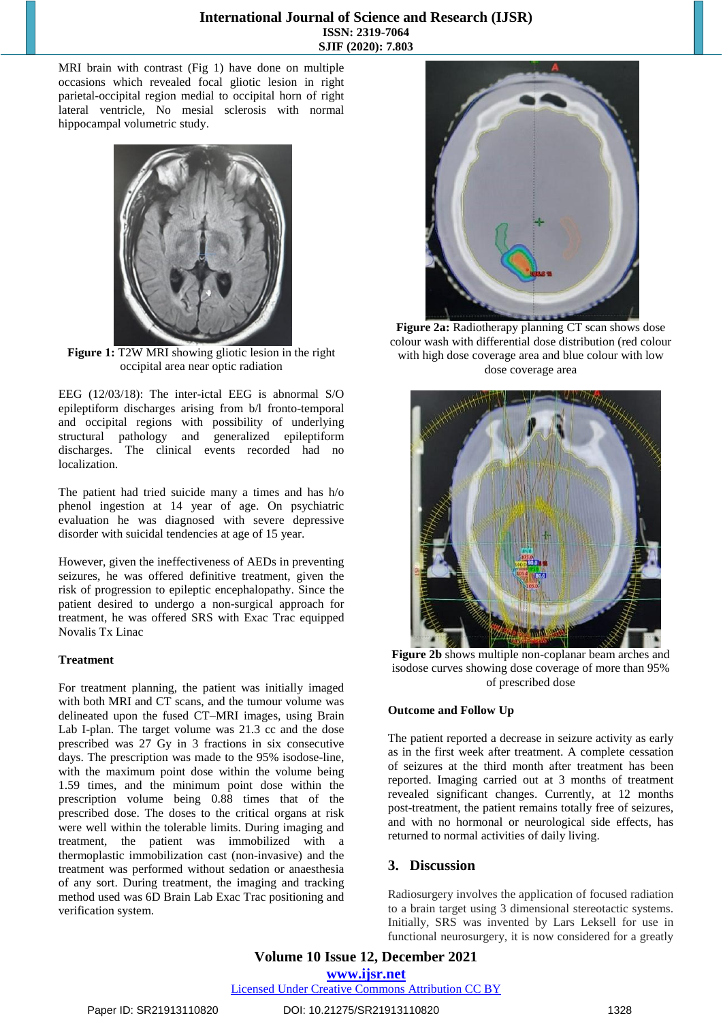MRI brain with contrast (Fig 1) have done on multiple occasions which revealed focal gliotic lesion in right parietal-occipital region medial to occipital horn of right lateral ventricle, No mesial sclerosis with normal hippocampal volumetric study.



**Figure 1:** T2W MRI showing gliotic lesion in the right occipital area near optic radiation

EEG (12/03/18): The inter-ictal EEG is abnormal S/O epileptiform discharges arising from b/l fronto-temporal and occipital regions with possibility of underlying structural pathology and generalized epileptiform discharges. The clinical events recorded had no localization.

The patient had tried suicide many a times and has h/o phenol ingestion at 14 year of age. On psychiatric evaluation he was diagnosed with severe depressive disorder with suicidal tendencies at age of 15 year.

However, given the ineffectiveness of AEDs in preventing seizures, he was offered definitive treatment, given the risk of progression to epileptic encephalopathy. Since the patient desired to undergo a non-surgical approach for treatment, he was offered SRS with Exac Trac equipped Novalis Tx Linac

### **Treatment**

For treatment planning, the patient was initially imaged with both MRI and CT scans, and the tumour volume was delineated upon the fused CT–MRI images, using Brain Lab I-plan. The target volume was 21.3 cc and the dose prescribed was 27 Gy in 3 fractions in six consecutive days. The prescription was made to the 95% isodose-line, with the maximum point dose within the volume being 1.59 times, and the minimum point dose within the prescription volume being 0.88 times that of the prescribed dose. The doses to the critical organs at risk were well within the tolerable limits. During imaging and treatment, the patient was immobilized with a thermoplastic immobilization cast (non-invasive) and the treatment was performed without sedation or anaesthesia of any sort. During treatment, the imaging and tracking method used was 6D Brain Lab Exac Trac positioning and verification system.



**Figure 2a:** Radiotherapy planning CT scan shows dose colour wash with differential dose distribution (red colour with high dose coverage area and blue colour with low dose coverage area



**Figure 2b** shows multiple non-coplanar beam arches and isodose curves showing dose coverage of more than 95% of prescribed dose

### **Outcome and Follow Up**

The patient reported a decrease in seizure activity as early as in the first week after treatment. A complete cessation of seizures at the third month after treatment has been reported. Imaging carried out at 3 months of treatment revealed significant changes. Currently, at 12 months post-treatment, the patient remains totally free of seizures, and with no hormonal or neurological side effects, has returned to normal activities of daily living.

# **3. Discussion**

Radiosurgery involves the application of focused radiation to a brain target using 3 dimensional stereotactic systems. Initially, SRS was invented by Lars Leksell for use in functional neurosurgery, it is now considered for a greatly

# **Volume 10 Issue 12, December 2021 www.ijsr.net**

Licensed Under Creative Commons Attribution CC BY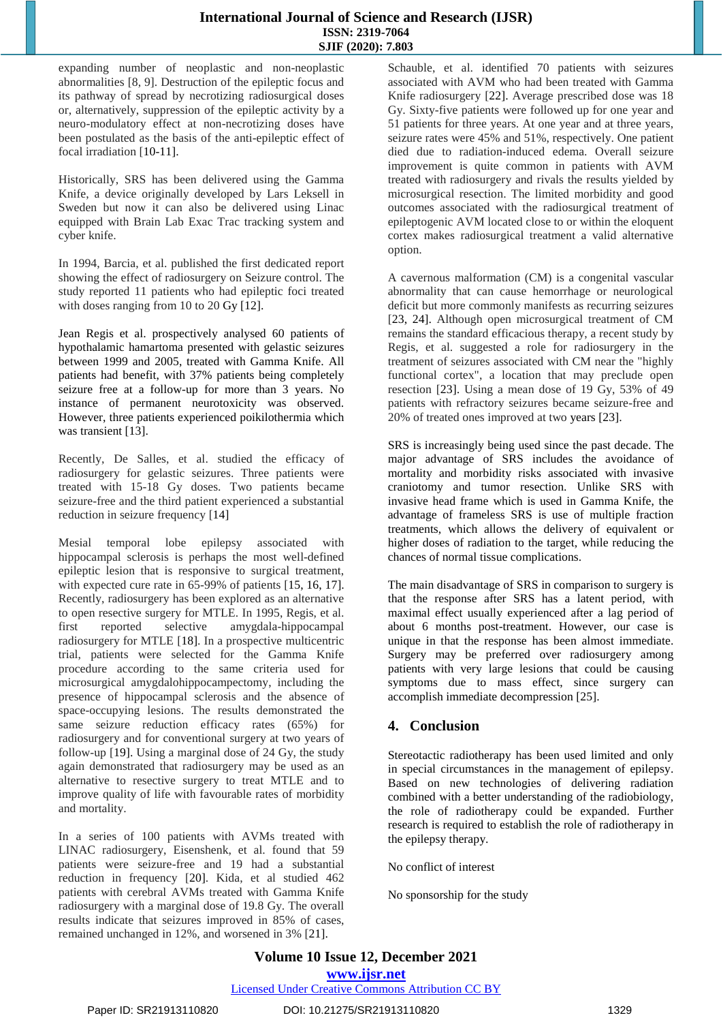## **International Journal of Science and Research (IJSR) ISSN: 2319-7064 SJIF (2020): 7.803**

expanding number of neoplastic and non-neoplastic abnormalities [8, 9]. Destruction of the epileptic focus and its pathway of spread by necrotizing radiosurgical doses or, alternatively, suppression of the epileptic activity by a neuro-modulatory effect at non-necrotizing doses have been postulated as the basis of the anti-epileptic effect of focal irradiation [10-11].

Historically, SRS has been delivered using the Gamma Knife, a device originally developed by Lars Leksell in Sweden but now it can also be delivered using Linac equipped with Brain Lab Exac Trac tracking system and cyber knife.

In 1994, Barcia, et al. published the first dedicated report showing the effect of radiosurgery on Seizure control. The study reported 11 patients who had epileptic foci treated with doses ranging from 10 to 20 Gy [12].

Jean Regis et al. prospectively analysed 60 patients of hypothalamic hamartoma presented with gelastic seizures between 1999 and 2005, treated with Gamma Knife. All patients had benefit, with 37% patients being completely seizure free at a follow-up for more than 3 years. No instance of permanent neurotoxicity was observed. However, three patients experienced poikilothermia which was transient [13].

Recently, De Salles, et al. studied the efficacy of radiosurgery for gelastic seizures. Three patients were treated with 15-18 Gy doses. Two patients became seizure-free and the third patient experienced a substantial reduction in seizure frequency [14]

Mesial temporal lobe epilepsy associated with hippocampal sclerosis is perhaps the most well-defined epileptic lesion that is responsive to surgical treatment, with expected cure rate in 65-99% of patients [15, 16, 17]. Recently, radiosurgery has been explored as an alternative to open resective surgery for MTLE. In 1995, Regis, et al. first reported selective amygdala-hippocampal radiosurgery for MTLE [18]. In a prospective multicentric trial, patients were selected for the Gamma Knife procedure according to the same criteria used for microsurgical amygdalohippocampectomy, including the presence of hippocampal sclerosis and the absence of space-occupying lesions. The results demonstrated the same seizure reduction efficacy rates (65%) for radiosurgery and for conventional surgery at two years of follow-up [19]. Using a marginal dose of 24 Gy, the study again demonstrated that radiosurgery may be used as an alternative to resective surgery to treat MTLE and to improve quality of life with favourable rates of morbidity and mortality.

In a series of 100 patients with AVMs treated with LINAC radiosurgery, Eisenshenk, et al. found that 59 patients were seizure-free and 19 had a substantial reduction in frequency [20]. Kida, et al studied 462 patients with cerebral AVMs treated with Gamma Knife radiosurgery with a marginal dose of 19.8 Gy. The overall results indicate that seizures improved in 85% of cases, remained unchanged in 12%, and worsened in 3% [21].

Schauble, et al. identified 70 patients with seizures associated with AVM who had been treated with Gamma Knife radiosurgery [22]. Average prescribed dose was 18 Gy. Sixty-five patients were followed up for one year and 51 patients for three years. At one year and at three years, seizure rates were 45% and 51%, respectively. One patient died due to radiation-induced edema. Overall seizure improvement is quite common in patients with AVM treated with radiosurgery and rivals the results yielded by microsurgical resection. The limited morbidity and good outcomes associated with the radiosurgical treatment of epileptogenic AVM located close to or within the eloquent cortex makes radiosurgical treatment a valid alternative option.

A cavernous malformation (CM) is a congenital vascular abnormality that can cause hemorrhage or neurological deficit but more commonly manifests as recurring seizures [23, 24]. Although open microsurgical treatment of CM remains the standard efficacious therapy, a recent study by Regis, et al. suggested a role for radiosurgery in the treatment of seizures associated with CM near the "highly functional cortex", a location that may preclude open resection [23]. Using a mean dose of 19 Gy, 53% of 49 patients with refractory seizures became seizure-free and 20% of treated ones improved at two years [23].

SRS is increasingly being used since the past decade. The major advantage of SRS includes the avoidance of mortality and morbidity risks associated with invasive craniotomy and tumor resection. Unlike SRS with invasive head frame which is used in Gamma Knife, the advantage of frameless SRS is use of multiple fraction treatments, which allows the delivery of equivalent or higher doses of radiation to the target, while reducing the chances of normal tissue complications.

The main disadvantage of SRS in comparison to surgery is that the response after SRS has a latent period, with maximal effect usually experienced after a lag period of about 6 months post-treatment. However, our case is unique in that the response has been almost immediate. Surgery may be preferred over radiosurgery among patients with very large lesions that could be causing symptoms due to mass effect, since surgery can accomplish immediate decompression [25].

# **4. Conclusion**

Stereotactic radiotherapy has been used limited and only in special circumstances in the management of epilepsy. Based on new technologies of delivering radiation combined with a better understanding of the radiobiology, the role of radiotherapy could be expanded. Further research is required to establish the role of radiotherapy in the epilepsy therapy.

No conflict of interest

No sponsorship for the study

# **Volume 10 Issue 12, December 2021 www.ijsr.net** Licensed Under Creative Commons Attribution CC BY